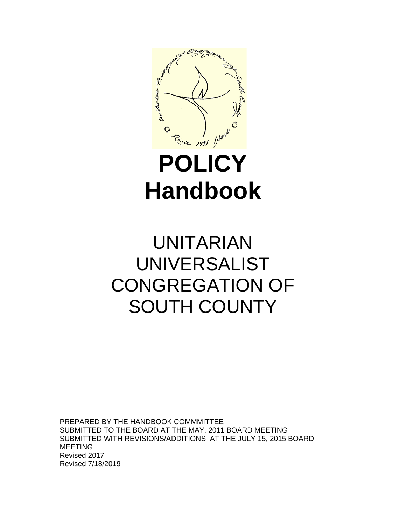

# **POLICY Handbook**

## UNITARIAN UNIVERSALIST CONGREGATION OF SOUTH COUNTY

PREPARED BY THE HANDBOOK COMMMITTEE SUBMITTED TO THE BOARD AT THE MAY, 2011 BOARD MEETING SUBMITTED WITH REVISIONS/ADDITIONS AT THE JULY 15, 2015 BOARD MEETING Revised 2017 Revised 7/18/2019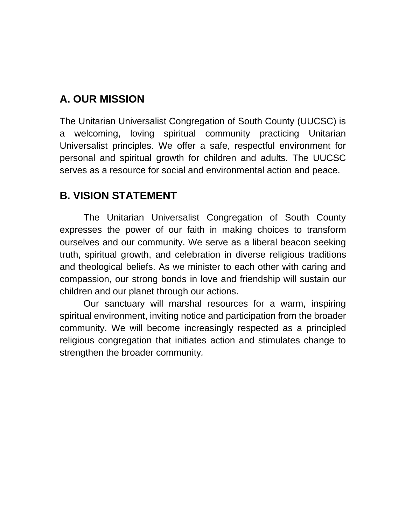### **A. OUR MISSION**

The Unitarian Universalist Congregation of South County (UUCSC) is a welcoming, loving spiritual community practicing Unitarian Universalist principles. We offer a safe, respectful environment for personal and spiritual growth for children and adults. The UUCSC serves as a resource for social and environmental action and peace.

### **B. VISION STATEMENT**

The Unitarian Universalist Congregation of South County expresses the power of our faith in making choices to transform ourselves and our community. We serve as a liberal beacon seeking truth, spiritual growth, and celebration in diverse religious traditions and theological beliefs. As we minister to each other with caring and compassion, our strong bonds in love and friendship will sustain our children and our planet through our actions.

Our sanctuary will marshal resources for a warm, inspiring spiritual environment, inviting notice and participation from the broader community. We will become increasingly respected as a principled religious congregation that initiates action and stimulates change to strengthen the broader community*.*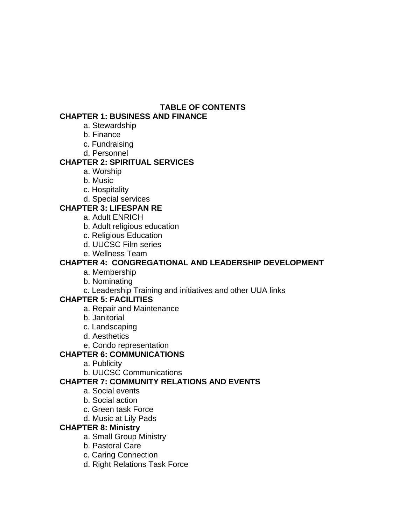#### **TABLE OF CONTENTS**

#### **CHAPTER 1: BUSINESS AND FINANCE**

- a. Stewardship
- b. Finance
- c. Fundraising
- d. Personnel

#### **CHAPTER 2: SPIRITUAL SERVICES**

- a. Worship
- b. Music
- c. Hospitality
- d. Special services

#### **CHAPTER 3: LIFESPAN RE**

- a. Adult ENRICH
- b. Adult religious education
- c. Religious Education
- d. UUCSC Film series
- e. Wellness Team

#### **CHAPTER 4: CONGREGATIONAL AND LEADERSHIP DEVELOPMENT**

- a. Membership
- b. Nominating
- c. Leadership Training and initiatives and other UUA links

#### **CHAPTER 5: FACILITIES**

- a. Repair and Maintenance
- b. Janitorial
- c. Landscaping
- d. Aesthetics
- e. Condo representation

#### **CHAPTER 6: COMMUNICATIONS**

- a. Publicity
- b. UUCSC Communications

#### **CHAPTER 7: COMMUNITY RELATIONS AND EVENTS**

- a. Social events
- b. Social action
- c. Green task Force
- d. Music at Lily Pads

#### **CHAPTER 8: Ministry**

- a. Small Group Ministry
- b. Pastoral Care
- c. Caring Connection
- d. Right Relations Task Force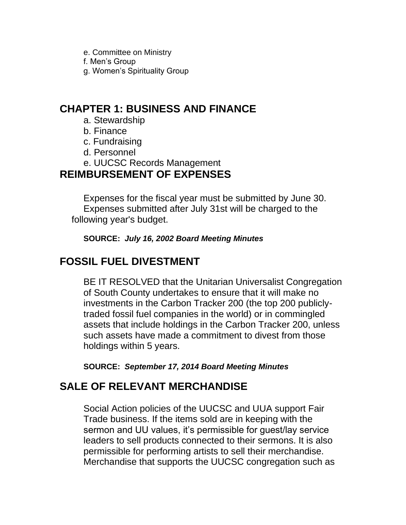e. Committee on Ministry f. Men's Group g. Women's Spirituality Group

### **CHAPTER 1: BUSINESS AND FINANCE**

- a. Stewardship
- b. Finance
- c. Fundraising
- d. Personnel
- e. UUCSC Records Management

### **REIMBURSEMENT OF EXPENSES**

Expenses for the fiscal year must be submitted by June 30. Expenses submitted after July 31st will be charged to the following year's budget.

**SOURCE:** *July 16, 2002 Board Meeting Minutes*

### **FOSSIL FUEL DIVESTMENT**

BE IT RESOLVED that the Unitarian Universalist Congregation of South County undertakes to ensure that it will make no investments in the Carbon Tracker 200 (the top 200 publiclytraded fossil fuel companies in the world) or in commingled assets that include holdings in the Carbon Tracker 200, unless such assets have made a commitment to divest from those holdings within 5 years.

**SOURCE:** *September 17, 2014 Board Meeting Minutes*

### **SALE OF RELEVANT MERCHANDISE**

Social Action policies of the UUCSC and UUA support Fair Trade business. If the items sold are in keeping with the sermon and UU values, it's permissible for guest/lay service leaders to sell products connected to their sermons. It is also permissible for performing artists to sell their merchandise. Merchandise that supports the UUCSC congregation such as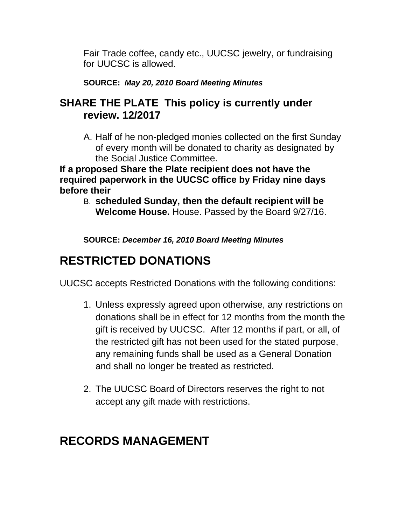Fair Trade coffee, candy etc., UUCSC jewelry, or fundraising for UUCSC is allowed.

### **SOURCE:** *May 20, 2010 Board Meeting Minutes*

### **SHARE THE PLATE This policy is currently under review. 12/2017**

A. Half of he non-pledged monies collected on the first Sunday of every month will be donated to charity as designated by the Social Justice Committee.

**If a proposed Share the Plate recipient does not have the required paperwork in the UUCSC office by Friday nine days before their**

B. **scheduled Sunday, then the default recipient will be Welcome House.** House. Passed by the Board 9/27/16.

**SOURCE:** *December 16, 2010 Board Meeting Minutes*

### **RESTRICTED DONATIONS**

UUCSC accepts Restricted Donations with the following conditions:

- 1. Unless expressly agreed upon otherwise, any restrictions on donations shall be in effect for 12 months from the month the gift is received by UUCSC. After 12 months if part, or all, of the restricted gift has not been used for the stated purpose, any remaining funds shall be used as a General Donation and shall no longer be treated as restricted.
- 2. The UUCSC Board of Directors reserves the right to not accept any gift made with restrictions.

### **RECORDS MANAGEMENT**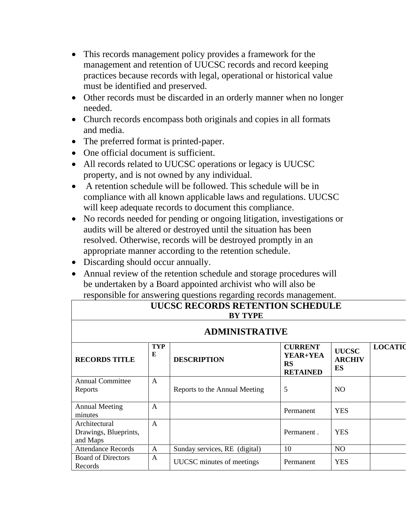- This records management policy provides a framework for the management and retention of UUCSC records and record keeping practices because records with legal, operational or historical value must be identified and preserved.
- Other records must be discarded in an orderly manner when no longer needed.
- Church records encompass both originals and copies in all formats and media.
- The preferred format is printed-paper.
- One official document is sufficient.
- All records related to UUCSC operations or legacy is UUCSC property, and is not owned by any individual.
- A retention schedule will be followed. This schedule will be in compliance with all known applicable laws and regulations. UUCSC will keep adequate records to document this compliance.
- No records needed for pending or ongoing litigation, investigations or audits will be altered or destroyed until the situation has been resolved. Otherwise, records will be destroyed promptly in an appropriate manner according to the retention schedule.
- Discarding should occur annually.
- Annual review of the retention schedule and storage procedures will be undertaken by a Board appointed archivist who will also be responsible for answering questions regarding records management.

| <b>UUCSC RECORDS RETENTION SCHEDULE</b><br><b>BY TYPE</b> |                 |                               |                                                            |                                     |                |  |
|-----------------------------------------------------------|-----------------|-------------------------------|------------------------------------------------------------|-------------------------------------|----------------|--|
| <b>ADMINISTRATIVE</b>                                     |                 |                               |                                                            |                                     |                |  |
| <b>RECORDS TITLE</b>                                      | <b>TYP</b><br>E | <b>DESCRIPTION</b>            | <b>CURRENT</b><br>YEAR+YEA<br><b>RS</b><br><b>RETAINED</b> | <b>UUCSC</b><br><b>ARCHIV</b><br>ES | <b>LOCATIC</b> |  |
| <b>Annual Committee</b><br>Reports                        | $\mathsf{A}$    | Reports to the Annual Meeting | 5                                                          | N <sub>O</sub>                      |                |  |
| <b>Annual Meeting</b><br>minutes                          | $\mathsf{A}$    |                               | Permanent                                                  | <b>YES</b>                          |                |  |
| Architectural<br>Drawings, Blueprints,<br>and Maps        | $\mathsf{A}$    |                               | Permanent.                                                 | <b>YES</b>                          |                |  |
| <b>Attendance Records</b>                                 | $\mathsf{A}$    | Sunday services, RE (digital) | 10                                                         | NO.                                 |                |  |
| <b>Board of Directors</b><br>Records                      | A               | UUCSC minutes of meetings     | Permanent                                                  | <b>YES</b>                          |                |  |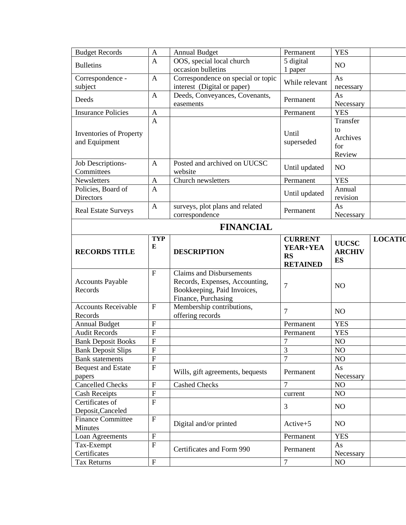| <b>Budget Records</b>      | $\mathbf{A}$   | <b>Annual Budget</b>               | Permanent       | <b>YES</b>     |                |  |
|----------------------------|----------------|------------------------------------|-----------------|----------------|----------------|--|
| <b>Bulletins</b>           | $\mathbf{A}$   | OOS, special local church          | 5 digital       | N <sub>O</sub> |                |  |
|                            |                | occasion bulletins                 | 1 paper         |                |                |  |
| Correspondence -           | $\mathbf{A}$   | Correspondence on special or topic | While relevant  | As             |                |  |
| subject                    |                | interest (Digital or paper)        |                 | necessary      |                |  |
| Deeds                      | A              | Deeds, Conveyances, Covenants,     | Permanent       | As             |                |  |
|                            |                | easements                          |                 | Necessary      |                |  |
| <b>Insurance Policies</b>  | A              |                                    | Permanent       | <b>YES</b>     |                |  |
|                            | $\mathbf{A}$   |                                    |                 | Transfer       |                |  |
| Inventories of Property    |                |                                    | Until           | to             |                |  |
| and Equipment              |                |                                    | superseded      | Archives       |                |  |
|                            |                |                                    |                 | for            |                |  |
|                            |                |                                    |                 | Review         |                |  |
| Job Descriptions-          | A              | Posted and archived on UUCSC       | Until updated   | NO             |                |  |
| Committees                 |                | website                            |                 |                |                |  |
| Newsletters                | A              | Church newsletters                 | Permanent       | <b>YES</b>     |                |  |
| Policies, Board of         | $\mathbf{A}$   |                                    | Until updated   | Annual         |                |  |
| Directors                  |                |                                    |                 | revision       |                |  |
|                            | $\mathbf{A}$   | surveys, plot plans and related    | Permanent       | As             |                |  |
| <b>Real Estate Surveys</b> |                | correspondence                     |                 | Necessary      |                |  |
| <b>FINANCIAL</b>           |                |                                    |                 |                |                |  |
|                            |                |                                    |                 |                |                |  |
|                            | <b>TYP</b>     |                                    | <b>CURRENT</b>  | <b>UUCSC</b>   | <b>LOCATIC</b> |  |
| <b>RECORDS TITLE</b>       | E              | <b>DESCRIPTION</b>                 | YEAR+YEA        | <b>ARCHIV</b>  |                |  |
|                            |                |                                    | <b>RS</b>       |                |                |  |
|                            |                |                                    |                 |                |                |  |
|                            |                |                                    | <b>RETAINED</b> | <b>ES</b>      |                |  |
|                            | $\mathbf{F}$   | <b>Claims and Disbursements</b>    |                 |                |                |  |
| <b>Accounts Payable</b>    |                | Records, Expenses, Accounting,     |                 |                |                |  |
| Records                    |                | Bookkeeping, Paid Invoices,        | 7               | N <sub>O</sub> |                |  |
|                            |                | Finance, Purchasing                |                 |                |                |  |
| <b>Accounts Receivable</b> | $\mathbf{F}$   | Membership contributions,          |                 |                |                |  |
| Records                    |                | offering records                   | 7               | NO             |                |  |
| <b>Annual Budget</b>       | ${\bf F}$      |                                    | Permanent       | <b>YES</b>     |                |  |
| <b>Audit Records</b>       | ${\bf F}$      |                                    | Permanent       | <b>YES</b>     |                |  |
| <b>Bank Deposit Books</b>  | $\overline{F}$ |                                    | $\overline{7}$  | NO             |                |  |
| <b>Bank Deposit Slips</b>  | ${\bf F}$      |                                    | 3               | NO             |                |  |
| <b>Bank</b> statements     | ${\bf F}$      |                                    | $\overline{7}$  | NO             |                |  |
| <b>Bequest and Estate</b>  | ${\bf F}$      |                                    |                 | As             |                |  |
| papers                     |                | Wills, gift agreements, bequests   | Permanent       | Necessary      |                |  |
| <b>Cancelled Checks</b>    | $\mathbf{F}$   | <b>Cashed Checks</b>               | $\overline{7}$  | NO             |                |  |
| <b>Cash Receipts</b>       | ${\bf F}$      |                                    | current         | NO             |                |  |
| Certificates of            | $\mathbf{F}$   |                                    |                 |                |                |  |
| Deposit, Canceled          |                |                                    | 3               | NO             |                |  |
| <b>Finance Committee</b>   | $\mathbf F$    |                                    |                 |                |                |  |
| Minutes                    |                | Digital and/or printed             | $Active+5$      | NO             |                |  |
| Loan Agreements            | $\mathbf{F}$   |                                    | Permanent       | <b>YES</b>     |                |  |
| Tax-Exempt                 | ${\bf F}$      |                                    |                 | As             |                |  |
| Certificates               |                | Certificates and Form 990          | Permanent       | Necessary      |                |  |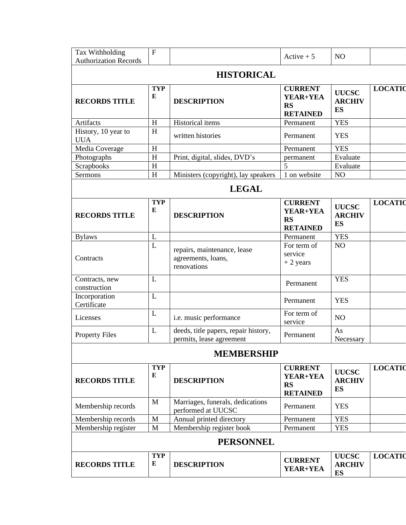| Tax Withholding                   | $\overline{F}$  |                                                                  | Active $+5$                                                | NO                                         |                |  |  |
|-----------------------------------|-----------------|------------------------------------------------------------------|------------------------------------------------------------|--------------------------------------------|----------------|--|--|
| <b>Authorization Records</b>      |                 |                                                                  |                                                            |                                            |                |  |  |
|                                   |                 | <b>HISTORICAL</b>                                                |                                                            |                                            |                |  |  |
| <b>RECORDS TITLE</b>              | <b>TYP</b><br>E | <b>DESCRIPTION</b>                                               | <b>CURRENT</b><br>YEAR+YEA<br><b>RS</b><br><b>RETAINED</b> | <b>UUCSC</b><br><b>ARCHIV</b><br><b>ES</b> | <b>LOCATIC</b> |  |  |
| Artifacts                         | H               | <b>Historical items</b>                                          | Permanent                                                  | <b>YES</b>                                 |                |  |  |
| History, 10 year to<br><b>UUA</b> | H               | written histories                                                | Permanent                                                  | <b>YES</b>                                 |                |  |  |
| Media Coverage                    | H               |                                                                  | Permanent                                                  | <b>YES</b>                                 |                |  |  |
| Photographs                       | H               | Print, digital, slides, DVD's                                    | permanent                                                  | Evaluate                                   |                |  |  |
| Scrapbooks                        | H               |                                                                  | 5                                                          | Evaluate                                   |                |  |  |
| Sermons                           | H               | Ministers (copyright), lay speakers                              | 1 on website                                               | NO                                         |                |  |  |
| <b>LEGAL</b>                      |                 |                                                                  |                                                            |                                            |                |  |  |
| <b>RECORDS TITLE</b>              | <b>TYP</b><br>E | <b>DESCRIPTION</b>                                               | <b>CURRENT</b><br>YEAR+YEA<br><b>RS</b><br><b>RETAINED</b> | <b>UUCSC</b><br><b>ARCHIV</b><br><b>ES</b> | <b>LOCATIC</b> |  |  |
| <b>Bylaws</b>                     | L               |                                                                  | Permanent                                                  | <b>YES</b>                                 |                |  |  |
| Contracts                         | L               | repairs, maintenance, lease<br>agreements, loans,<br>renovations | For term of<br>service<br>$+2$ years                       | NO                                         |                |  |  |
| Contracts, new<br>construction    | L               |                                                                  | Permanent                                                  | <b>YES</b>                                 |                |  |  |
| Incorporation<br>Certificate      | $\mathbf{L}$    |                                                                  | Permanent                                                  | <b>YES</b>                                 |                |  |  |
| Licenses                          | L               | i.e. music performance                                           | For term of<br>service                                     | NO                                         |                |  |  |
| <b>Property Files</b>             | L               | deeds, title papers, repair history,<br>permits, lease agreement | Permanent                                                  | As<br>Necessary                            |                |  |  |
|                                   |                 | <b>MEMBERSHIP</b>                                                |                                                            |                                            |                |  |  |
| <b>RECORDS TITLE</b>              | <b>TYP</b><br>E | <b>DESCRIPTION</b>                                               | <b>CURRENT</b><br>YEAR+YEA<br><b>RS</b><br><b>RETAINED</b> | <b>UUCSC</b><br><b>ARCHIV</b><br><b>ES</b> | <b>LOCATIC</b> |  |  |
| Membership records                | $\mathbf{M}$    | Marriages, funerals, dedications<br>performed at UUCSC           | Permanent                                                  | <b>YES</b>                                 |                |  |  |
| Membership records                | $\mathbf M$     | Annual printed directory                                         | Permanent                                                  | <b>YES</b>                                 |                |  |  |
| Membership register               | M               | Membership register book                                         | Permanent                                                  | <b>YES</b>                                 |                |  |  |
| <b>PERSONNEL</b>                  |                 |                                                                  |                                                            |                                            |                |  |  |
| <b>RECORDS TITLE</b>              | <b>TYP</b><br>E | <b>DESCRIPTION</b>                                               | <b>CURRENT</b><br>YEAR+YEA                                 | <b>UUCSC</b><br><b>ARCHIV</b><br><b>ES</b> | <b>LOCATIC</b> |  |  |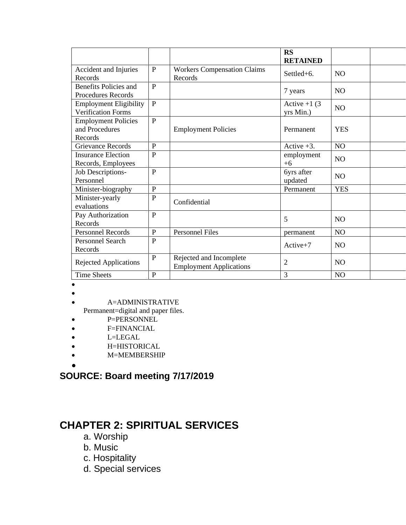|                                                            |              |                                                           | <b>RS</b><br><b>RETAINED</b> |                |
|------------------------------------------------------------|--------------|-----------------------------------------------------------|------------------------------|----------------|
| Accident and Injuries<br>Records                           | $\mathbf{P}$ | <b>Workers Compensation Claims</b><br>Records             | Settled+6.                   | N <sub>O</sub> |
| Benefits Policies and<br><b>Procedures Records</b>         | $\mathbf{P}$ |                                                           | 7 years                      | N <sub>O</sub> |
| <b>Employment Eligibility</b><br><b>Verification Forms</b> | $\mathbf{P}$ |                                                           | Active $+1$ (3)<br>yrs Min.) | NO             |
| <b>Employment Policies</b><br>and Procedures<br>Records    | $\mathbf{P}$ | <b>Employment Policies</b>                                | Permanent                    | <b>YES</b>     |
| <b>Grievance Records</b>                                   | P            |                                                           | Active $+3$ .                | NO             |
| <b>Insurance Election</b><br>Records, Employees            | $\mathbf{P}$ |                                                           | employment<br>$+6$           | N <sub>O</sub> |
| Job Descriptions-<br>Personnel                             | $\mathbf{P}$ |                                                           | 6yrs after<br>updated        | N <sub>O</sub> |
| Minister-biography                                         | P            |                                                           | Permanent                    | <b>YES</b>     |
| Minister-yearly<br>evaluations                             | $\mathbf{P}$ | Confidential                                              |                              |                |
| Pay Authorization<br>Records                               | $\mathbf{P}$ |                                                           | 5                            | N <sub>O</sub> |
| <b>Personnel Records</b>                                   | P            | <b>Personnel Files</b>                                    | permanent                    | N <sub>O</sub> |
| Personnel Search<br>Records                                | $\mathbf{P}$ |                                                           | $Active+7$                   | N <sub>O</sub> |
| Rejected Applications                                      | $\mathbf{P}$ | Rejected and Incomplete<br><b>Employment Applications</b> | $\overline{2}$               | N <sub>O</sub> |
| <b>Time Sheets</b>                                         | $\mathbf{P}$ |                                                           | 3                            | N <sub>O</sub> |

- •
- •

• A=ADMINISTRATIVE

Permanent=digital and paper files.

- P=PERSONNEL
- F=FINANCIAL
- L=LEGAL
- H=HISTORICAL
- M=MEMBERSHIP
- •

### **SOURCE: Board meeting 7/17/2019**

### **CHAPTER 2: SPIRITUAL SERVICES**

- a. Worship
- b. Music
- c. Hospitality
- d. Special services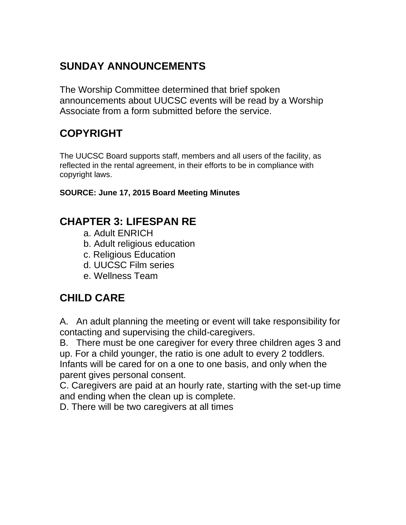### **SUNDAY ANNOUNCEMENTS**

The Worship Committee determined that brief spoken announcements about UUCSC events will be read by a Worship Associate from a form submitted before the service.

### **COPYRIGHT**

The UUCSC Board supports staff, members and all users of the facility, as reflected in the rental agreement, in their efforts to be in compliance with copyright laws.

#### **SOURCE: June 17, 2015 Board Meeting Minutes**

### **CHAPTER 3: LIFESPAN RE**

- a. Adult ENRICH
- b. Adult religious education
- c. Religious Education
- d. UUCSC Film series
- e. Wellness Team

### **CHILD CARE**

A. An adult planning the meeting or event will take responsibility for contacting and supervising the child-caregivers.

B. There must be one caregiver for every three children ages 3 and up. For a child younger, the ratio is one adult to every 2 toddlers. Infants will be cared for on a one to one basis, and only when the parent gives personal consent.

C. Caregivers are paid at an hourly rate, starting with the set-up time and ending when the clean up is complete.

D. There will be two caregivers at all times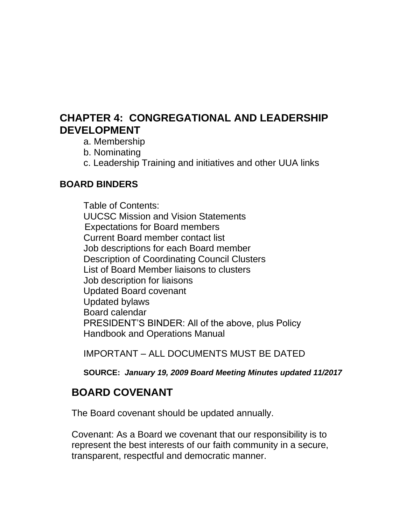### **CHAPTER 4: CONGREGATIONAL AND LEADERSHIP DEVELOPMENT**

- a. Membership
- b. Nominating
- c. Leadership Training and initiatives and other UUA links

### **BOARD BINDERS**

Table of Contents: UUCSC Mission and Vision Statements Expectations for Board members Current Board member contact list Job descriptions for each Board member Description of Coordinating Council Clusters List of Board Member liaisons to clusters Job description for liaisons Updated Board covenant Updated bylaws Board calendar PRESIDENT'S BINDER: All of the above, plus Policy Handbook and Operations Manual

IMPORTANT – ALL DOCUMENTS MUST BE DATED

**SOURCE:** *January 19, 2009 Board Meeting Minutes updated 11/2017* 

### **BOARD COVENANT**

The Board covenant should be updated annually.

Covenant: As a Board we covenant that our responsibility is to represent the best interests of our faith community in a secure, transparent, respectful and democratic manner.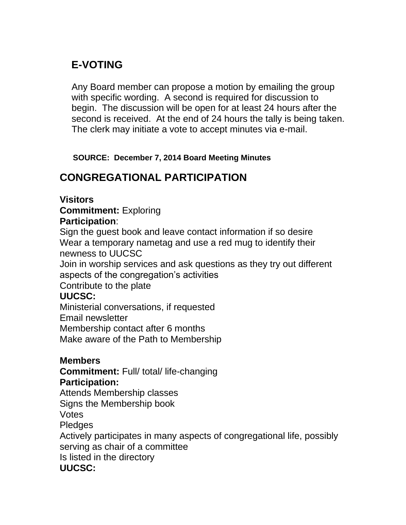### **E-VOTING**

Any Board member can propose a motion by emailing the group with specific wording. A second is required for discussion to begin. The discussion will be open for at least 24 hours after the second is received. At the end of 24 hours the tally is being taken. The clerk may initiate a vote to accept minutes via e-mail.

 **SOURCE: December 7, 2014 Board Meeting Minutes**

### **CONGREGATIONAL PARTICIPATION**

#### **Visitors**

#### **Commitment:** Exploring **Participation**:

Sign the guest book and leave contact information if so desire Wear a temporary nametag and use a red mug to identify their newness to UUCSC

Join in worship services and ask questions as they try out different aspects of the congregation's activities

Contribute to the plate

### **UUCSC:**

Ministerial conversations, if requested Email newsletter Membership contact after 6 months Make aware of the Path to Membership

### **Members**

**Commitment:** Full/ total/ life-changing **Participation:**

Attends Membership classes Signs the Membership book

Votes

Pledges

Actively participates in many aspects of congregational life, possibly serving as chair of a committee Is listed in the directory **UUCSC:**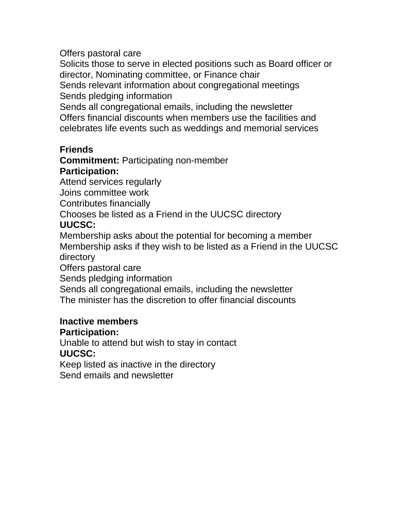Offers pastoral care

Solicits those to serve in elected positions such as Board officer or director, Nominating committee, or Finance chair Sends relevant information about congregational meetings

Sends pledging information

Sends all congregational emails, including the newsletter Offers financial discounts when members use the facilities and celebrates life events such as weddings and memorial services

### **Friends**

**Commitment:** Participating non-member

### **Participation:**

Attend services regularly

Joins committee work

Contributes financially

Chooses be listed as a Friend in the UUCSC directory

### **UUCSC:**

Membership asks about the potential for becoming a member Membership asks if they wish to be listed as a Friend in the UUCSC directory

Offers pastoral care

Sends pledging information

Sends all congregational emails, including the newsletter

The minister has the discretion to offer financial discounts

### **Inactive members**

### **Participation:**

Unable to attend but wish to stay in contact **UUCSC:**

Keep listed as inactive in the directory Send emails and newsletter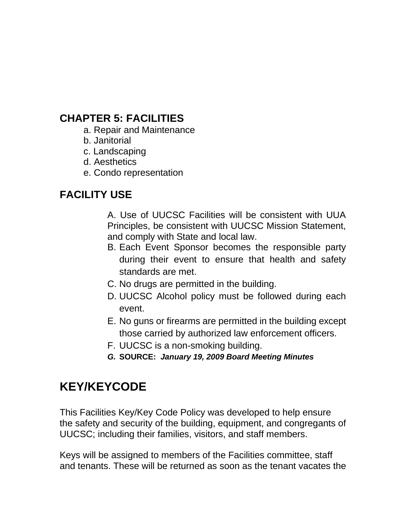### **CHAPTER 5: FACILITIES**

- a. Repair and Maintenance
- b. Janitorial
- c. Landscaping
- d. Aesthetics
- e. Condo representation

### **FACILITY USE**

A. Use of UUCSC Facilities will be consistent with UUA Principles, be consistent with UUCSC Mission Statement, and comply with State and local law.

- B. Each Event Sponsor becomes the responsible party during their event to ensure that health and safety standards are met.
- C. No drugs are permitted in the building.
- D. UUCSC Alcohol policy must be followed during each event.
- E. No guns or firearms are permitted in the building except those carried by authorized law enforcement officers.
- F. UUCSC is a non-smoking building.
- *G.* **SOURCE:** *January 19, 2009 Board Meeting Minutes*

### **KEY/KEYCODE**

This Facilities Key/Key Code Policy was developed to help ensure the safety and security of the building, equipment, and congregants of UUCSC; including their families, visitors, and staff members.

Keys will be assigned to members of the Facilities committee, staff and tenants. These will be returned as soon as the tenant vacates the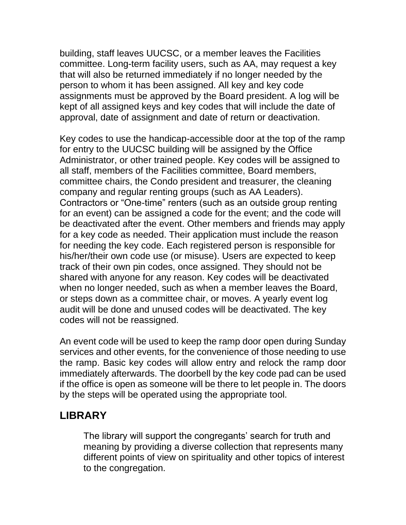building, staff leaves UUCSC, or a member leaves the Facilities committee. Long-term facility users, such as AA, may request a key that will also be returned immediately if no longer needed by the person to whom it has been assigned. All key and key code assignments must be approved by the Board president. A log will be kept of all assigned keys and key codes that will include the date of approval, date of assignment and date of return or deactivation.

Key codes to use the handicap-accessible door at the top of the ramp for entry to the UUCSC building will be assigned by the Office Administrator, or other trained people. Key codes will be assigned to all staff, members of the Facilities committee, Board members, committee chairs, the Condo president and treasurer, the cleaning company and regular renting groups (such as AA Leaders). Contractors or "One-time" renters (such as an outside group renting for an event) can be assigned a code for the event; and the code will be deactivated after the event. Other members and friends may apply for a key code as needed. Their application must include the reason for needing the key code. Each registered person is responsible for his/her/their own code use (or misuse). Users are expected to keep track of their own pin codes, once assigned. They should not be shared with anyone for any reason. Key codes will be deactivated when no longer needed, such as when a member leaves the Board, or steps down as a committee chair, or moves. A yearly event log audit will be done and unused codes will be deactivated. The key codes will not be reassigned.

An event code will be used to keep the ramp door open during Sunday services and other events, for the convenience of those needing to use the ramp. Basic key codes will allow entry and relock the ramp door immediately afterwards. The doorbell by the key code pad can be used if the office is open as someone will be there to let people in. The doors by the steps will be operated using the appropriate tool.

### **LIBRARY**

The library will support the congregants' search for truth and meaning by providing a diverse collection that represents many different points of view on spirituality and other topics of interest to the congregation.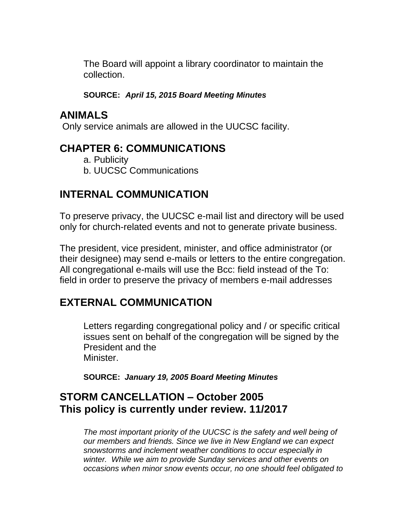The Board will appoint a library coordinator to maintain the collection.

**SOURCE:** *April 15, 2015 Board Meeting Minutes*

### **ANIMALS**

Only service animals are allowed in the UUCSC facility.

### **CHAPTER 6: COMMUNICATIONS**

- a. Publicity
- b. UUCSC Communications

### **INTERNAL COMMUNICATION**

To preserve privacy, the UUCSC e-mail list and directory will be used only for church-related events and not to generate private business.

The president, vice president, minister, and office administrator (or their designee) may send e-mails or letters to the entire congregation. All congregational e-mails will use the Bcc: field instead of the To: field in order to preserve the privacy of members e-mail addresses

### **EXTERNAL COMMUNICATION**

Letters regarding congregational policy and / or specific critical issues sent on behalf of the congregation will be signed by the President and the Minister.

**SOURCE:** *January 19, 2005 Board Meeting Minutes*

### **STORM CANCELLATION – October 2005 This policy is currently under review. 11/2017**

*The most important priority of the UUCSC is the safety and well being of our members and friends. Since we live in New England we can expect snowstorms and inclement weather conditions to occur especially in winter. While we aim to provide Sunday services and other events on occasions when minor snow events occur, no one should feel obligated to*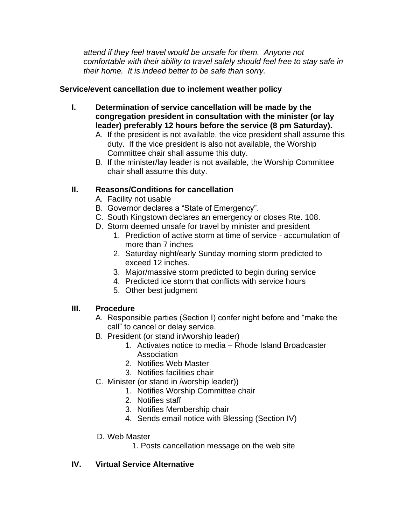*attend if they feel travel would be unsafe for them. Anyone not comfortable with their ability to travel safely should feel free to stay safe in their home. It is indeed better to be safe than sorry.*

#### **Service/event cancellation due to inclement weather policy**

- **I. Determination of service cancellation will be made by the congregation president in consultation with the minister (or lay leader) preferably 12 hours before the service (8 pm Saturday).**
	- A. If the president is not available, the vice president shall assume this duty. If the vice president is also not available, the Worship Committee chair shall assume this duty.
	- B. If the minister/lay leader is not available, the Worship Committee chair shall assume this duty.

#### **II. Reasons/Conditions for cancellation**

- A. Facility not usable
- B. Governor declares a "State of Emergency".
- C. South Kingstown declares an emergency or closes Rte. 108.
- D. Storm deemed unsafe for travel by minister and president
	- 1. Prediction of active storm at time of service accumulation of more than 7 inches
	- 2. Saturday night/early Sunday morning storm predicted to exceed 12 inches.
	- 3. Major/massive storm predicted to begin during service
	- 4. Predicted ice storm that conflicts with service hours
	- 5. Other best judgment

#### **III. Procedure**

- A. Responsible parties (Section I) confer night before and "make the call" to cancel or delay service.
- B. President (or stand in/worship leader)
	- 1. Activates notice to media Rhode Island Broadcaster Association
	- 2. Notifies Web Master
	- 3. Notifies facilities chair
- C. Minister (or stand in /worship leader))
	- 1. Notifies Worship Committee chair
		- 2. Notifies staff
		- 3. Notifies Membership chair
		- 4. Sends email notice with Blessing (Section IV)

#### D. Web Master

1. Posts cancellation message on the web site

#### **IV. Virtual Service Alternative**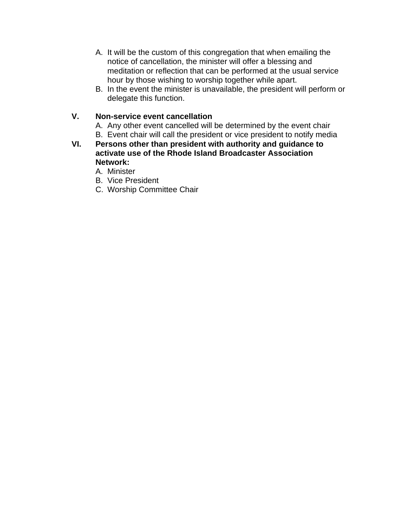- A. It will be the custom of this congregation that when emailing the notice of cancellation, the minister will offer a blessing and meditation or reflection that can be performed at the usual service hour by those wishing to worship together while apart.
- B. In the event the minister is unavailable, the president will perform or delegate this function.

#### **V. Non-service event cancellation**

A. Any other event cancelled will be determined by the event chair B. Event chair will call the president or vice president to notify media

**VI. Persons other than president with authority and guidance to activate use of the Rhode Island Broadcaster Association Network:**

A. Minister

- B. Vice President
- C. Worship Committee Chair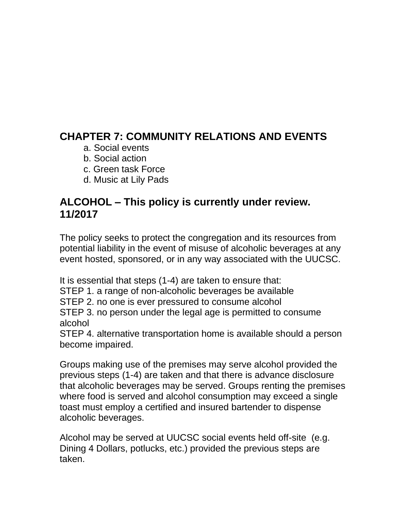### **CHAPTER 7: COMMUNITY RELATIONS AND EVENTS**

- a. Social events
- b. Social action
- c. Green task Force
- d. Music at Lily Pads

### **ALCOHOL – This policy is currently under review. 11/2017**

The policy seeks to protect the congregation and its resources from potential liability in the event of misuse of alcoholic beverages at any event hosted, sponsored, or in any way associated with the UUCSC.

It is essential that steps (1-4) are taken to ensure that:

STEP 1. a range of non-alcoholic beverages be available

STEP 2. no one is ever pressured to consume alcohol

STEP 3. no person under the legal age is permitted to consume alcohol

STEP 4. alternative transportation home is available should a person become impaired.

Groups making use of the premises may serve alcohol provided the previous steps (1-4) are taken and that there is advance disclosure that alcoholic beverages may be served. Groups renting the premises where food is served and alcohol consumption may exceed a single toast must employ a certified and insured bartender to dispense alcoholic beverages.

Alcohol may be served at UUCSC social events held off-site (e.g. Dining 4 Dollars, potlucks, etc.) provided the previous steps are taken.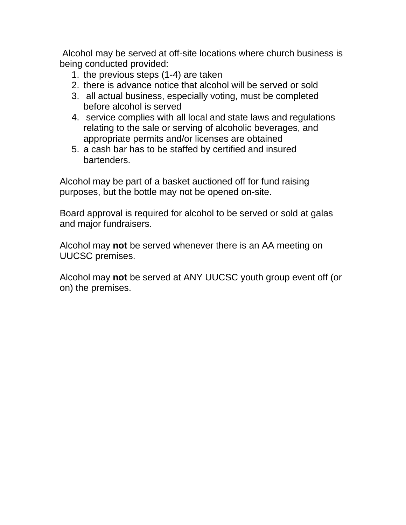Alcohol may be served at off-site locations where church business is being conducted provided:

- 1. the previous steps (1-4) are taken
- 2. there is advance notice that alcohol will be served or sold
- 3. all actual business, especially voting, must be completed before alcohol is served
- 4. service complies with all local and state laws and regulations relating to the sale or serving of alcoholic beverages, and appropriate permits and/or licenses are obtained
- 5. a cash bar has to be staffed by certified and insured bartenders.

Alcohol may be part of a basket auctioned off for fund raising purposes, but the bottle may not be opened on-site.

Board approval is required for alcohol to be served or sold at galas and major fundraisers.

Alcohol may **not** be served whenever there is an AA meeting on UUCSC premises.

Alcohol may **not** be served at ANY UUCSC youth group event off (or on) the premises.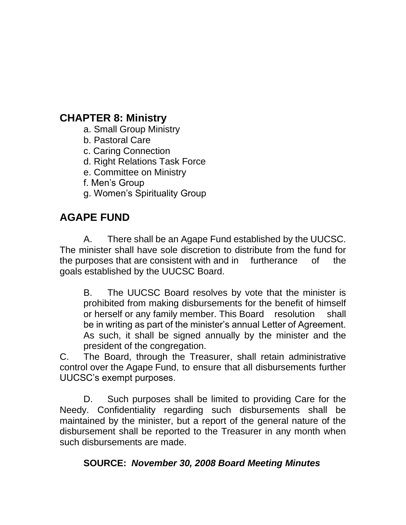### **CHAPTER 8: Ministry**

- a. Small Group Ministry
- b. Pastoral Care
- c. Caring Connection
- d. Right Relations Task Force
- e. Committee on Ministry
- f. Men's Group
- g. Women's Spirituality Group

### **AGAPE FUND**

A. There shall be an Agape Fund established by the UUCSC. The minister shall have sole discretion to distribute from the fund for the purposes that are consistent with and in furtherance of the goals established by the UUCSC Board.

B. The UUCSC Board resolves by vote that the minister is prohibited from making disbursements for the benefit of himself or herself or any family member. This Board resolution shall be in writing as part of the minister's annual Letter of Agreement. As such, it shall be signed annually by the minister and the president of the congregation.

C. The Board, through the Treasurer, shall retain administrative control over the Agape Fund, to ensure that all disbursements further UUCSC's exempt purposes.

D. Such purposes shall be limited to providing Care for the Needy. Confidentiality regarding such disbursements shall be maintained by the minister, but a report of the general nature of the disbursement shall be reported to the Treasurer in any month when such disbursements are made.

### **SOURCE:** *November 30, 2008 Board Meeting Minutes*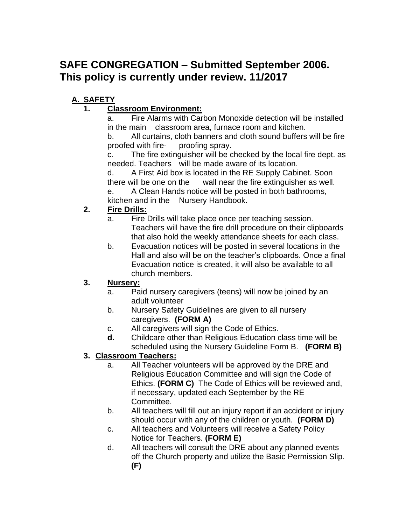### **SAFE CONGREGATION – Submitted September 2006. This policy is currently under review. 11/2017**

### **A. SAFETY**

#### **1. Classroom Environment:**

a. Fire Alarms with Carbon Monoxide detection will be installed in the main classroom area, furnace room and kitchen.

b. All curtains, cloth banners and cloth sound buffers will be fire proofed with fire- proofing spray.

c. The fire extinguisher will be checked by the local fire dept. as needed. Teachers will be made aware of its location.

d. A First Aid box is located in the RE Supply Cabinet. Soon there will be one on the wall near the fire extinguisher as well.

e. A Clean Hands notice will be posted in both bathrooms, kitchen and in the Nursery Handbook.

#### **2. Fire Drills:**

- a. Fire Drills will take place once per teaching session. Teachers will have the fire drill procedure on their clipboards that also hold the weekly attendance sheets for each class.
- b. Evacuation notices will be posted in several locations in the Hall and also will be on the teacher's clipboards. Once a final Evacuation notice is created, it will also be available to all church members.

#### **3. Nursery:**

- a. Paid nursery caregivers (teens) will now be joined by an adult volunteer
- b. Nursery Safety Guidelines are given to all nursery caregivers. **(FORM A)**
- c. All caregivers will sign the Code of Ethics.
- **d.** Childcare other than Religious Education class time will be scheduled using the Nursery Guideline Form B. **(FORM B)**

#### **3. Classroom Teachers:**

- a. All Teacher volunteers will be approved by the DRE and Religious Education Committee and will sign the Code of Ethics. **(FORM C)** The Code of Ethics will be reviewed and, if necessary, updated each September by the RE Committee.
- b. All teachers will fill out an injury report if an accident or injury should occur with any of the children or youth. **(FORM D)**
- c. All teachers and Volunteers will receive a Safety Policy Notice for Teachers. **(FORM E)**
- d. All teachers will consult the DRE about any planned events off the Church property and utilize the Basic Permission Slip. **(F)**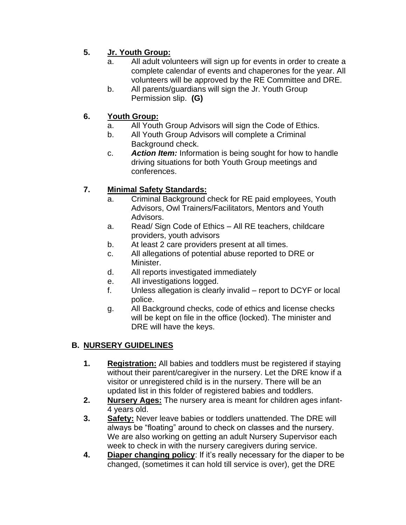#### **5. Jr. Youth Group:**

- a. All adult volunteers will sign up for events in order to create a complete calendar of events and chaperones for the year. All volunteers will be approved by the RE Committee and DRE.
- b. All parents/guardians will sign the Jr. Youth Group Permission slip. **(G)**

#### **6. Youth Group:**

- a. All Youth Group Advisors will sign the Code of Ethics.
- b. All Youth Group Advisors will complete a Criminal Background check.
- c. *Action Item:* Information is being sought for how to handle driving situations for both Youth Group meetings and conferences.

#### **7. Minimal Safety Standards:**

- a. Criminal Background check for RE paid employees, Youth Advisors, Owl Trainers/Facilitators, Mentors and Youth Advisors.
- a. Read/ Sign Code of Ethics All RE teachers, childcare providers, youth advisors
- b. At least 2 care providers present at all times.
- c. All allegations of potential abuse reported to DRE or Minister.
- d. All reports investigated immediately
- e. All investigations logged.
- f. Unless allegation is clearly invalid report to DCYF or local police.
- g. All Background checks, code of ethics and license checks will be kept on file in the office (locked). The minister and DRE will have the keys.

#### **B. NURSERY GUIDELINES**

- **1. Registration:** All babies and toddlers must be registered if staying without their parent/caregiver in the nursery. Let the DRE know if a visitor or unregistered child is in the nursery. There will be an updated list in this folder of registered babies and toddlers.
- **2. Nursery Ages:** The nursery area is meant for children ages infant-4 years old.
- **3. Safety:** Never leave babies or toddlers unattended. The DRE will always be "floating" around to check on classes and the nursery. We are also working on getting an adult Nursery Supervisor each week to check in with the nursery caregivers during service.
- **4. Diaper changing policy**: If it's really necessary for the diaper to be changed, (sometimes it can hold till service is over), get the DRE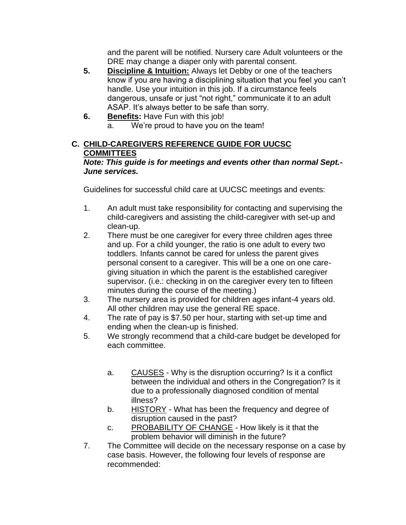and the parent will be notified. Nursery care Adult volunteers or the DRE may change a diaper only with parental consent.

- **5. Discipline & Intuition:** Always let Debby or one of the teachers know if you are having a disciplining situation that you feel you can't handle. Use your intuition in this job. If a circumstance feels dangerous, unsafe or just "not right," communicate it to an adult ASAP. It's always better to be safe than sorry.
- **6. Benefits:** Have Fun with this job!
	- a. We're proud to have you on the team!

#### **C. CHILD-CAREGIVERS REFERENCE GUIDE FOR UUCSC COMMITTEES**

#### *Note: This guide is for meetings and events other than normal Sept.- June services.*

Guidelines for successful child care at UUCSC meetings and events:

- 1. An adult must take responsibility for contacting and supervising the child-caregivers and assisting the child-caregiver with set-up and clean-up.
- 2. There must be one caregiver for every three children ages three and up. For a child younger, the ratio is one adult to every two toddlers. Infants cannot be cared for unless the parent gives personal consent to a caregiver. This will be a one on one caregiving situation in which the parent is the established caregiver supervisor. (i.e.: checking in on the caregiver every ten to fifteen minutes during the course of the meeting.)
- 3. The nursery area is provided for children ages infant-4 years old. All other children may use the general RE space.
- 4. The rate of pay is \$7.50 per hour, starting with set-up time and ending when the clean-up is finished.
- 5. We strongly recommend that a child-care budget be developed for each committee.
	- a. CAUSES Why is the disruption occurring? Is it a conflict between the individual and others in the Congregation? Is it due to a professionally diagnosed condition of mental illness?
	- b. HISTORY What has been the frequency and degree of disruption caused in the past?
	- c. PROBABILITY OF CHANGE How likely is it that the problem behavior will diminish in the future?
- 7. The Committee will decide on the necessary response on a case by case basis. However, the following four levels of response are recommended: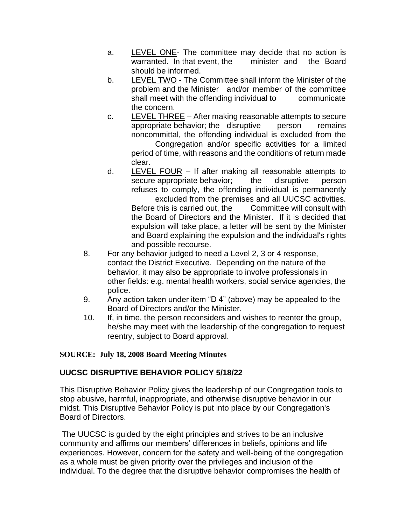- a. LEVEL ONE- The committee may decide that no action is warranted. In that event, the minister and the Board should be informed.
- b. LEVEL TWO The Committee shall inform the Minister of the problem and the Minister and/or member of the committee shall meet with the offending individual to communicate the concern.
- c. LEVEL THREE After making reasonable attempts to secure appropriate behavior; the disruptive person remains noncommittal, the offending individual is excluded from the Congregation and/or specific activities for a limited period of time, with reasons and the conditions of return made clear.
- d. LEVEL FOUR If after making all reasonable attempts to secure appropriate behavior; the disruptive person refuses to comply, the offending individual is permanently excluded from the premises and all UUCSC activities. Before this is carried out, the Committee will consult with the Board of Directors and the Minister. If it is decided that expulsion will take place, a letter will be sent by the Minister and Board explaining the expulsion and the individual's rights and possible recourse.
- 8. For any behavior judged to need a Level 2, 3 or 4 response, contact the District Executive. Depending on the nature of the behavior, it may also be appropriate to involve professionals in other fields: e.g. mental health workers, social service agencies, the police.
- 9. Any action taken under item "D 4" (above) may be appealed to the Board of Directors and/or the Minister.
- 10. If, in time, the person reconsiders and wishes to reenter the group, he/she may meet with the leadership of the congregation to request reentry, subject to Board approval.

#### **SOURCE: July 18, 2008 Board Meeting Minutes**

#### **UUCSC DISRUPTIVE BEHAVIOR POLICY 5/18/22**

This Disruptive Behavior Policy gives the leadership of our Congregation tools to stop abusive, harmful, inappropriate, and otherwise disruptive behavior in our midst. This Disruptive Behavior Policy is put into place by our Congregation's Board of Directors.

The UUCSC is guided by the eight principles and strives to be an inclusive community and affirms our members' differences in beliefs, opinions and life experiences. However, concern for the safety and well-being of the congregation as a whole must be given priority over the privileges and inclusion of the individual. To the degree that the disruptive behavior compromises the health of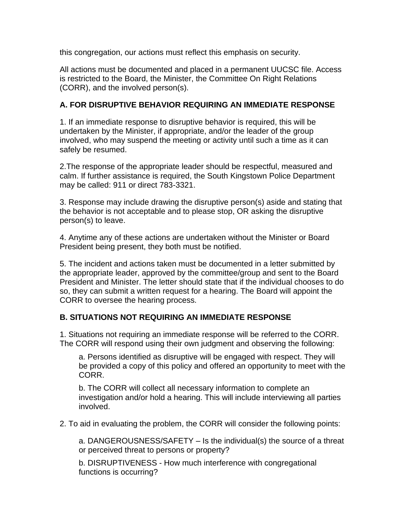this congregation, our actions must reflect this emphasis on security.

All actions must be documented and placed in a permanent UUCSC file. Access is restricted to the Board, the Minister, the Committee On Right Relations (CORR), and the involved person(s).

#### **A. FOR DISRUPTIVE BEHAVIOR REQUIRING AN IMMEDIATE RESPONSE**

1. If an immediate response to disruptive behavior is required, this will be undertaken by the Minister, if appropriate, and/or the leader of the group involved, who may suspend the meeting or activity until such a time as it can safely be resumed.

2.The response of the appropriate leader should be respectful, measured and calm. If further assistance is required, the South Kingstown Police Department may be called: 911 or direct 783-3321.

3. Response may include drawing the disruptive person(s) aside and stating that the behavior is not acceptable and to please stop, OR asking the disruptive person(s) to leave.

4. Anytime any of these actions are undertaken without the Minister or Board President being present, they both must be notified.

5. The incident and actions taken must be documented in a letter submitted by the appropriate leader, approved by the committee/group and sent to the Board President and Minister. The letter should state that if the individual chooses to do so, they can submit a written request for a hearing. The Board will appoint the CORR to oversee the hearing process.

#### **B. SITUATIONS NOT REQUIRING AN IMMEDIATE RESPONSE**

1. Situations not requiring an immediate response will be referred to the CORR. The CORR will respond using their own judgment and observing the following:

a. Persons identified as disruptive will be engaged with respect. They will be provided a copy of this policy and offered an opportunity to meet with the CORR.

b. The CORR will collect all necessary information to complete an investigation and/or hold a hearing. This will include interviewing all parties involved.

2. To aid in evaluating the problem, the CORR will consider the following points:

a. DANGEROUSNESS/SAFETY – Is the individual(s) the source of a threat or perceived threat to persons or property?

b. DISRUPTIVENESS - How much interference with congregational functions is occurring?